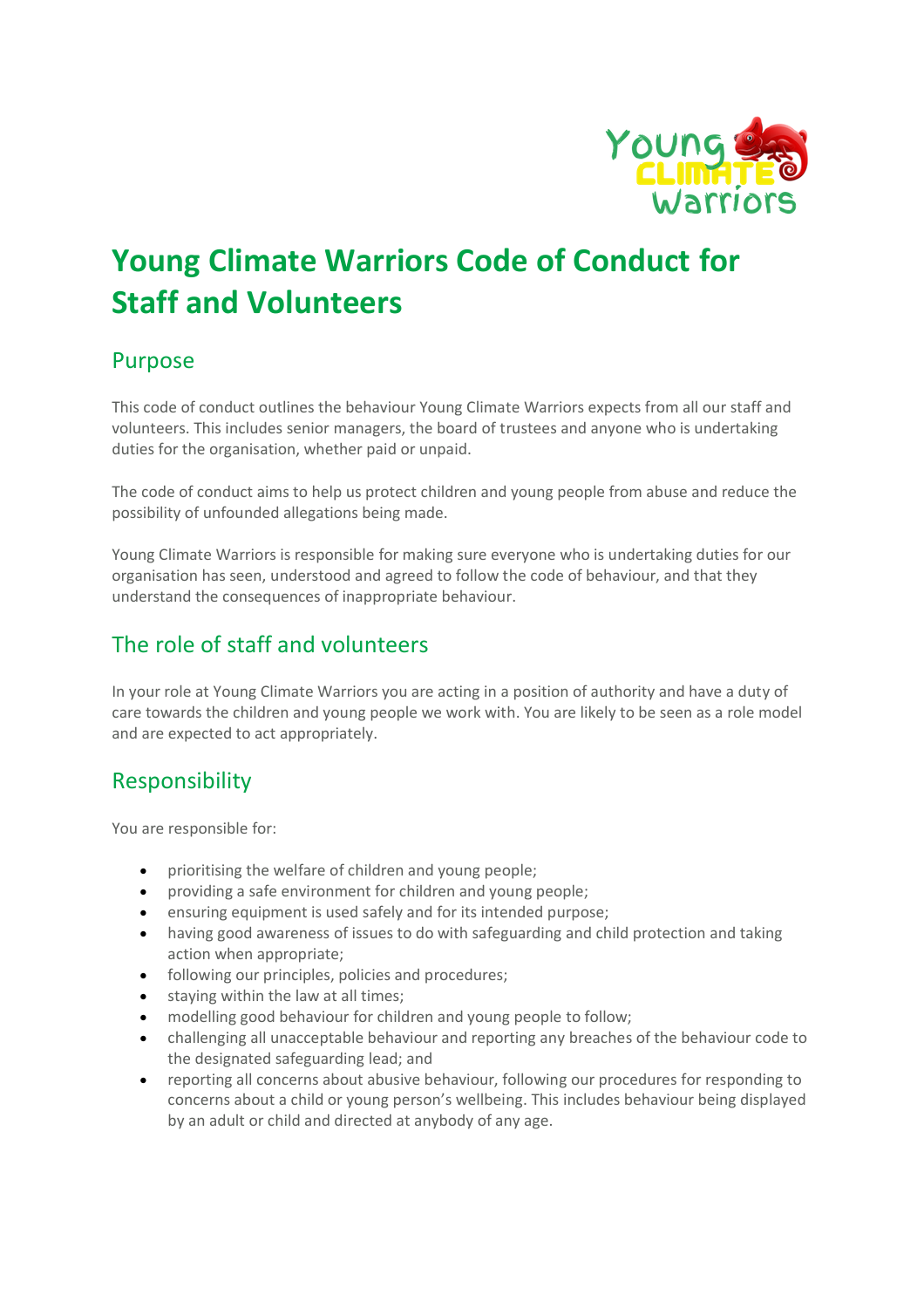

# **Young Climate Warriors Code of Conduct for Staff and Volunteers**

#### Purpose

This code of conduct outlines the behaviour Young Climate Warriors expects from all our staff and volunteers. This includes senior managers, the board of trustees and anyone who is undertaking duties for the organisation, whether paid or unpaid.

The code of conduct aims to help us protect children and young people from abuse and reduce the possibility of unfounded allegations being made.

Young Climate Warriors is responsible for making sure everyone who is undertaking duties for our organisation has seen, understood and agreed to follow the code of behaviour, and that they understand the consequences of inappropriate behaviour.

## The role of staff and volunteers

In your role at Young Climate Warriors you are acting in a position of authority and have a duty of care towards the children and young people we work with. You are likely to be seen as a role model and are expected to act appropriately.

#### Responsibility

You are responsible for:

- prioritising the welfare of children and young people;
- providing a safe environment for children and young people;
- ensuring equipment is used safely and for its intended purpose;
- having good awareness of issues to do with safeguarding and child protection and taking action when appropriate;
- following our principles, policies and procedures;
- staying within the law at all times;
- modelling good behaviour for children and young people to follow;
- challenging all unacceptable behaviour and reporting any breaches of the behaviour code to the designated safeguarding lead; and
- reporting all concerns about abusive behaviour, following our procedures for responding to concerns about a child or young person's wellbeing. This includes behaviour being displayed by an adult or child and directed at anybody of any age.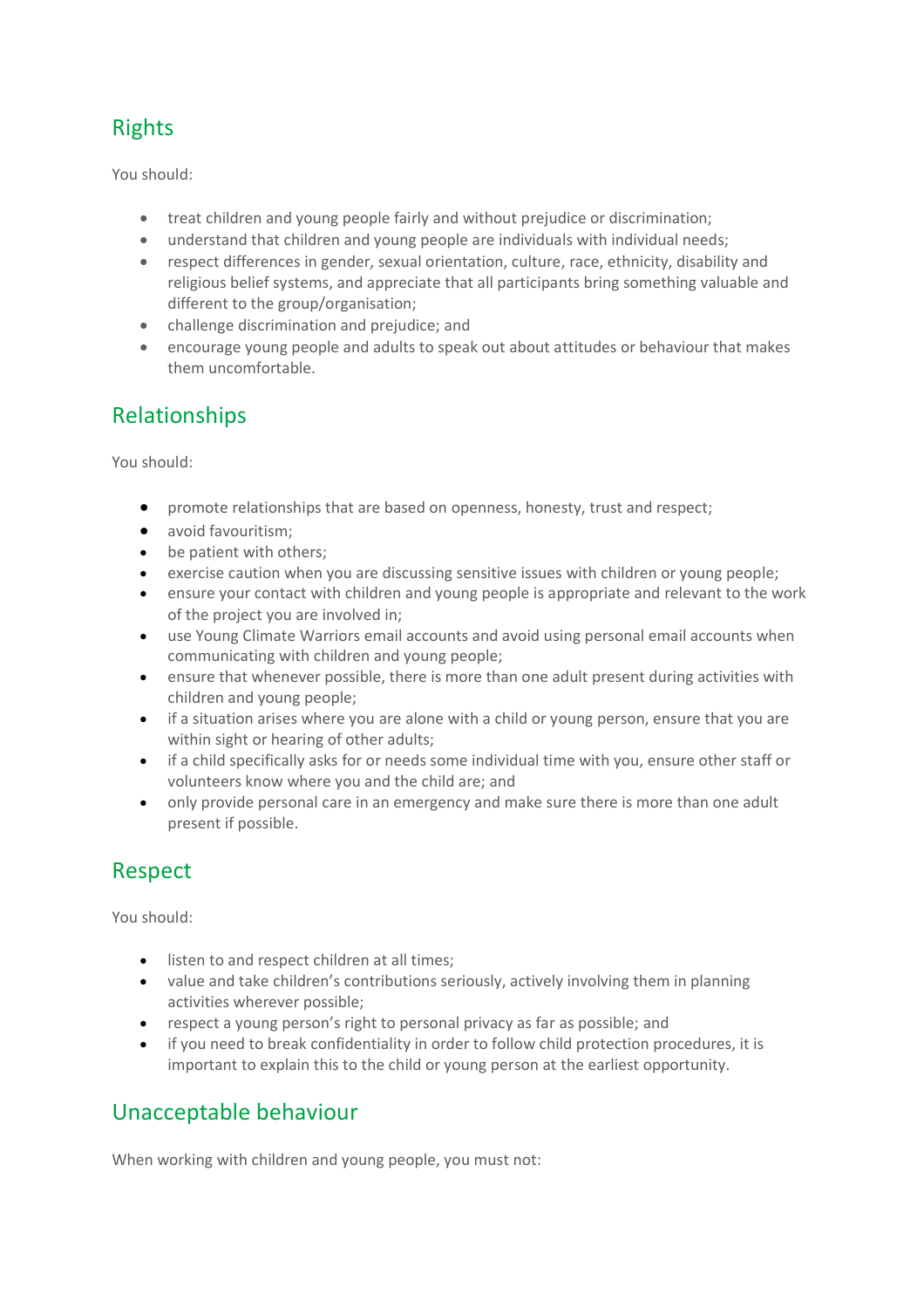# Rights

You should:

- treat children and young people fairly and without prejudice or discrimination;
- understand that children and young people are individuals with individual needs;
- respect differences in gender, sexual orientation, culture, race, ethnicity, disability and religious belief systems, and appreciate that all participants bring something valuable and different to the group/organisation;
- challenge discrimination and prejudice; and
- encourage young people and adults to speak out about attitudes or behaviour that makes them uncomfortable.

### Relationships

You should:

- promote relationships that are based on openness, honesty, trust and respect;
- avoid favouritism;
- be patient with others;
- exercise caution when you are discussing sensitive issues with children or young people;
- ensure your contact with children and young people is appropriate and relevant to the work of the project you are involved in;
- use Young Climate Warriors email accounts and avoid using personal email accounts when communicating with children and young people;
- ensure that whenever possible, there is more than one adult present during activities with children and young people;
- if a situation arises where you are alone with a child or young person, ensure that you are within sight or hearing of other adults;
- if a child specifically asks for or needs some individual time with you, ensure other staff or volunteers know where you and the child are; and
- only provide personal care in an emergency and make sure there is more than one adult present if possible.

# Respect

You should:

- listen to and respect children at all times;
- value and take children's contributions seriously, actively involving them in planning activities wherever possible;
- respect a young person's right to personal privacy as far as possible; and
- if you need to break confidentiality in order to follow child protection procedures, it is important to explain this to the child or young person at the earliest opportunity.

#### Unacceptable behaviour

When working with children and young people, you must not: